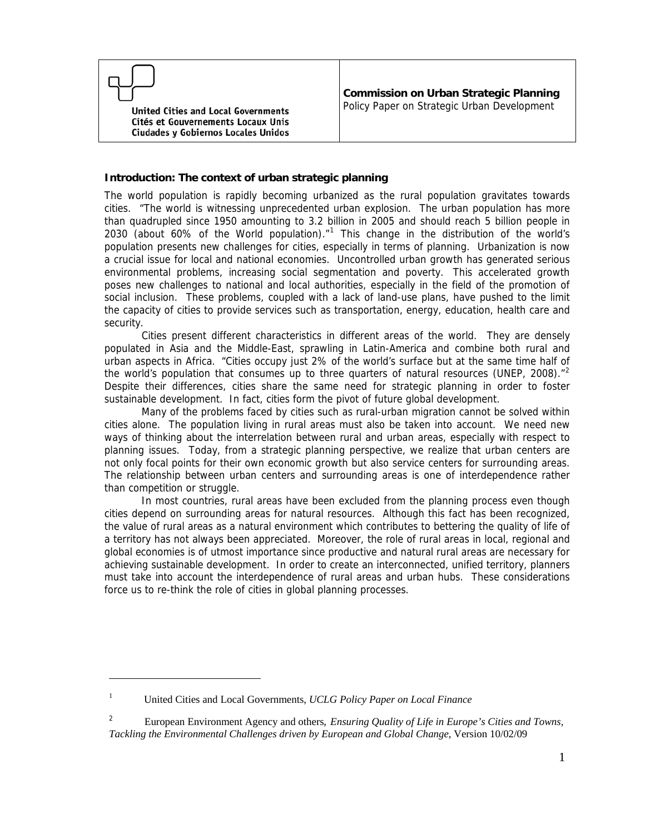**United Cities and Local Governments** Cités et Gouvernements Locaux Unis Ciudades y Gobiernos Locales Unidos

#### **Introduction: The context of urban strategic planning**

The world population is rapidly becoming urbanized as the rural population gravitates towards cities. "The world is witnessing unprecedented urban explosion. The urban population has more than quadrupled since 1950 amounting to 3.2 billion in 2005 and should reach 5 billion people in 2030 (about 60% of the World population). $n<sup>1</sup>$  $n<sup>1</sup>$  $n<sup>1</sup>$  This change in the distribution of the world's population presents new challenges for cities, especially in terms of planning. Urbanization is now a crucial issue for local and national economies. Uncontrolled urban growth has generated serious environmental problems, increasing social segmentation and poverty. This accelerated growth poses new challenges to national and local authorities, especially in the field of the promotion of social inclusion. These problems, coupled with a lack of land-use plans, have pushed to the limit the capacity of cities to provide services such as transportation, energy, education, health care and security.

 Cities present different characteristics in different areas of the world. They are densely populated in Asia and the Middle-East, sprawling in Latin-America and combine both rural and urban aspects in Africa. "Cities occupy just 2% of the world's surface but at the same time half of the world's population that consumes up to three quarters of natural resources (UNEP, [2](#page-0-1)008)."<sup>2</sup> Despite their differences, cities share the same need for strategic planning in order to foster sustainable development. In fact, cities form the pivot of future global development.

 Many of the problems faced by cities such as rural-urban migration cannot be solved within cities alone. The population living in rural areas must also be taken into account. We need new ways of thinking about the interrelation between rural and urban areas, especially with respect to planning issues. Today, from a strategic planning perspective, we realize that urban centers are not only focal points for their own economic growth but also service centers for surrounding areas. The relationship between urban centers and surrounding areas is one of interdependence rather than competition or struggle.

 In most countries, rural areas have been excluded from the planning process even though cities depend on surrounding areas for natural resources. Although this fact has been recognized, the value of rural areas as a natural environment which contributes to bettering the quality of life of a territory has not always been appreciated. Moreover, the role of rural areas in local, regional and global economies is of utmost importance since productive and natural rural areas are necessary for achieving sustainable development. In order to create an interconnected, unified territory, planners must take into account the interdependence of rural areas and urban hubs. These considerations force us to re-think the role of cities in global planning processes.

 $\overline{a}$ 

<sup>1</sup> United Cities and Local Governments, *UCLG Policy Paper on Local Finance* 

<span id="page-0-1"></span><span id="page-0-0"></span><sup>2</sup> European Environment Agency and others*, Ensuring Quality of Life in Europe's Cities and Towns, Tackling the Environmental Challenges driven by European and Global Change*, Version 10/02/09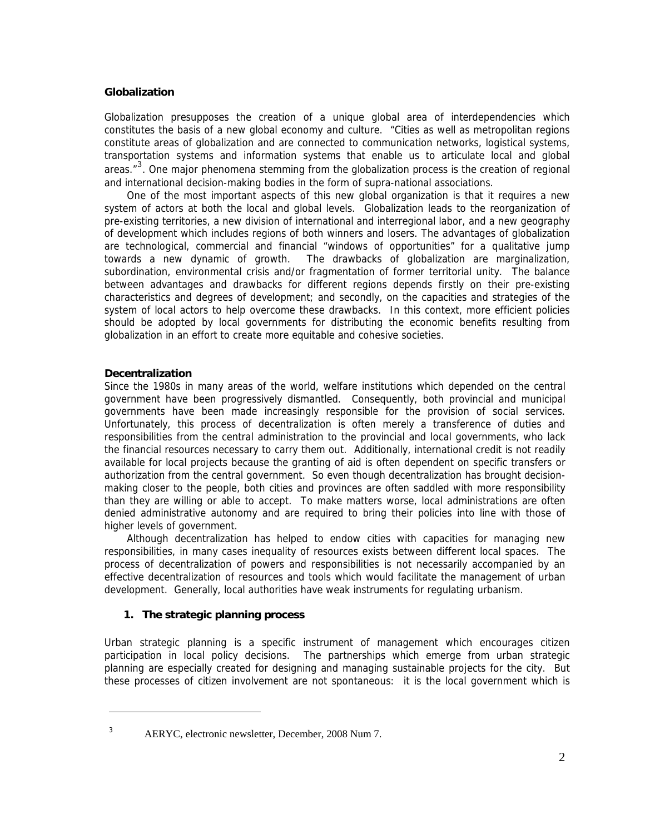#### **Globalization**

Globalization presupposes the creation of a unique global area of interdependencies which constitutes the basis of a new global economy and culture. "Cities as well as metropolitan regions constitute areas of globalization and are connected to communication networks, logistical systems, transportation systems and information systems that enable us to articulate local and global areas. $\mathbf{r}^3$  $\mathbf{r}^3$ . One major phenomena stemming from the globalization process is the creation of regional and international decision-making bodies in the form of supra-national associations.

One of the most important aspects of this new global organization is that it requires a new system of actors at both the local and global levels. Globalization leads to the reorganization of pre-existing territories, a new division of international and interregional labor, and a new geography of development which includes regions of both winners and losers. The advantages of globalization are technological, commercial and financial "windows of opportunities" for a qualitative jump towards a new dynamic of growth. The drawbacks of globalization are marginalization, subordination, environmental crisis and/or fragmentation of former territorial unity. The balance between advantages and drawbacks for different regions depends firstly on their pre-existing characteristics and degrees of development; and secondly, on the capacities and strategies of the system of local actors to help overcome these drawbacks. In this context, more efficient policies should be adopted by local governments for distributing the economic benefits resulting from globalization in an effort to create more equitable and cohesive societies.

# **Decentralization**

Since the 1980s in many areas of the world, welfare institutions which depended on the central government have been progressively dismantled. Consequently, both provincial and municipal governments have been made increasingly responsible for the provision of social services. Unfortunately, this process of decentralization is often merely a transference of duties and responsibilities from the central administration to the provincial and local governments, who lack the financial resources necessary to carry them out. Additionally, international credit is not readily available for local projects because the granting of aid is often dependent on specific transfers or authorization from the central government. So even though decentralization has brought decisionmaking closer to the people, both cities and provinces are often saddled with more responsibility than they are willing or able to accept. To make matters worse, local administrations are often denied administrative autonomy and are required to bring their policies into line with those of higher levels of government.

Although decentralization has helped to endow cities with capacities for managing new responsibilities, in many cases inequality of resources exists between different local spaces. The process of decentralization of powers and responsibilities is not necessarily accompanied by an effective decentralization of resources and tools which would facilitate the management of urban development. Generally, local authorities have weak instruments for regulating urbanism.

# **1. The strategic planning process**

Urban strategic planning is a specific instrument of management which encourages citizen participation in local policy decisions. The partnerships which emerge from urban strategic planning are especially created for designing and managing sustainable projects for the city. But these processes of citizen involvement are not spontaneous: it is the local government which is

<span id="page-1-0"></span> $\overline{a}$ 3

AERYC, electronic newsletter, December, 2008 Num 7.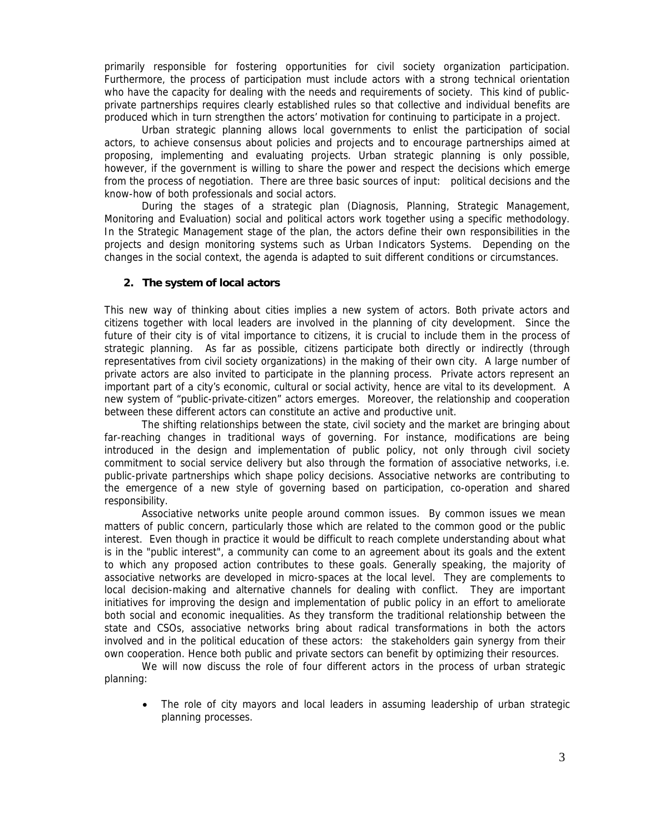primarily responsible for fostering opportunities for civil society organization participation. Furthermore, the process of participation must include actors with a strong technical orientation who have the capacity for dealing with the needs and requirements of society. This kind of publicprivate partnerships requires clearly established rules so that collective and individual benefits are produced which in turn strengthen the actors' motivation for continuing to participate in a project.

Urban strategic planning allows local governments to enlist the participation of social actors, to achieve consensus about policies and projects and to encourage partnerships aimed at proposing, implementing and evaluating projects. Urban strategic planning is only possible, however, if the government is willing to share the power and respect the decisions which emerge from the process of negotiation. There are three basic sources of input: political decisions and the know-how of both professionals and social actors.

During the stages of a strategic plan (Diagnosis, Planning, Strategic Management, Monitoring and Evaluation) social and political actors work together using a specific methodology. In the Strategic Management stage of the plan, the actors define their own responsibilities in the projects and design monitoring systems such as Urban Indicators Systems. Depending on the changes in the social context, the agenda is adapted to suit different conditions or circumstances.

## **2. The system of local actors**

This new way of thinking about cities implies a new system of actors. Both private actors and citizens together with local leaders are involved in the planning of city development. Since the future of their city is of vital importance to citizens, it is crucial to include them in the process of strategic planning. As far as possible, citizens participate both directly or indirectly (through representatives from civil society organizations) in the making of their own city. A large number of private actors are also invited to participate in the planning process. Private actors represent an important part of a city's economic, cultural or social activity, hence are vital to its development. A new system of "public-private-citizen" actors emerges. Moreover, the relationship and cooperation between these different actors can constitute an active and productive unit.

The shifting relationships between the state, civil society and the market are bringing about far-reaching changes in traditional ways of governing. For instance, modifications are being introduced in the design and implementation of public policy, not only through civil society commitment to social service delivery but also through the formation of associative networks, i.e. public-private partnerships which shape policy decisions. Associative networks are contributing to the emergence of a new style of governing based on participation, co-operation and shared responsibility.

Associative networks unite people around common issues. By common issues we mean matters of public concern, particularly those which are related to the common good or the public interest. Even though in practice it would be difficult to reach complete understanding about what is in the "public interest", a community can come to an agreement about its goals and the extent to which any proposed action contributes to these goals. Generally speaking, the majority of associative networks are developed in micro-spaces at the local level. They are complements to local decision-making and alternative channels for dealing with conflict. They are important initiatives for improving the design and implementation of public policy in an effort to ameliorate both social and economic inequalities. As they transform the traditional relationship between the state and CSOs, associative networks bring about radical transformations in both the actors involved and in the political education of these actors: the stakeholders gain synergy from their own cooperation. Hence both public and private sectors can benefit by optimizing their resources.

We will now discuss the role of four different actors in the process of urban strategic planning:

 The role of city mayors and local leaders in assuming leadership of urban strategic planning processes.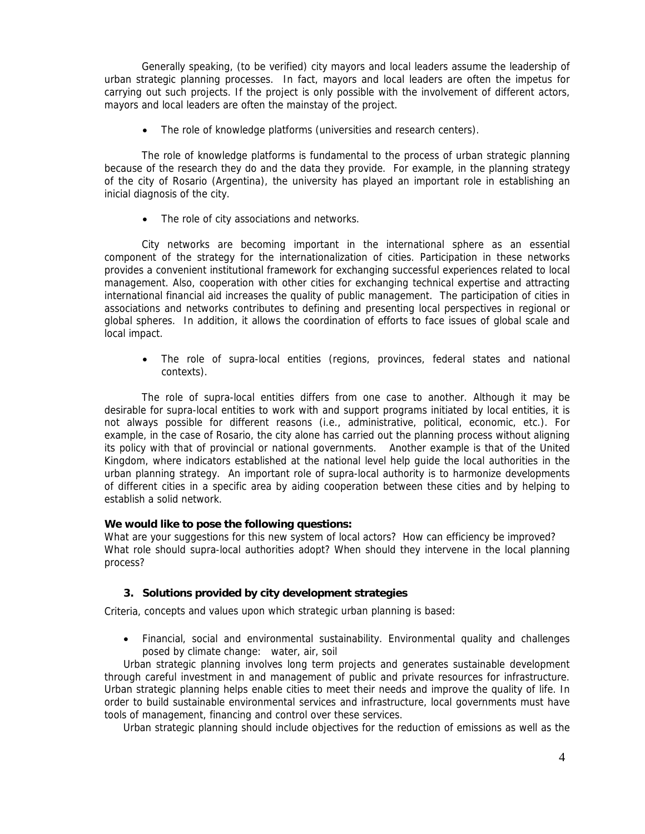Generally speaking, (to be verified) city mayors and local leaders assume the leadership of urban strategic planning processes. In fact, mayors and local leaders are often the impetus for carrying out such projects. If the project is only possible with the involvement of different actors, mayors and local leaders are often the mainstay of the project.

The role of knowledge platforms (universities and research centers).

The role of knowledge platforms is fundamental to the process of urban strategic planning because of the research they do and the data they provide. For example, in the planning strategy of the city of Rosario (Argentina), the university has played an important role in establishing an inicial diagnosis of the city.

• The role of city associations and networks.

City networks are becoming important in the international sphere as an essential component of the strategy for the internationalization of cities. Participation in these networks provides a convenient institutional framework for exchanging successful experiences related to local management. Also, cooperation with other cities for exchanging technical expertise and attracting international financial aid increases the quality of public management. The participation of cities in associations and networks contributes to defining and presenting local perspectives in regional or global spheres. In addition, it allows the coordination of efforts to face issues of global scale and local impact.

 The role of supra-local entities (regions, provinces, federal states and national contexts).

The role of supra-local entities differs from one case to another. Although it may be desirable for supra-local entities to work with and support programs initiated by local entities, it is not always possible for different reasons (i.e., administrative, political, economic, etc.). For example, in the case of Rosario, the city alone has carried out the planning process without aligning its policy with that of provincial or national governments. Another example is that of the United Kingdom, where indicators established at the national level help guide the local authorities in the urban planning strategy. An important role of supra-local authority is to harmonize developments of different cities in a specific area by aiding cooperation between these cities and by helping to establish a solid network.

#### **We would like to pose the following questions:**

What are your suggestions for this new system of local actors? How can efficiency be improved? What role should supra-local authorities adopt? When should they intervene in the local planning process?

# **3. Solutions provided by city development strategies**

Criteria, concepts and values upon which strategic urban planning is based:

 Financial, social and environmental sustainability. Environmental quality and challenges posed by climate change: water, air, soil

Urban strategic planning involves long term projects and generates sustainable development through careful investment in and management of public and private resources for infrastructure. Urban strategic planning helps enable cities to meet their needs and improve the quality of life. In order to build sustainable environmental services and infrastructure, local governments must have tools of management, financing and control over these services.

Urban strategic planning should include objectives for the reduction of emissions as well as the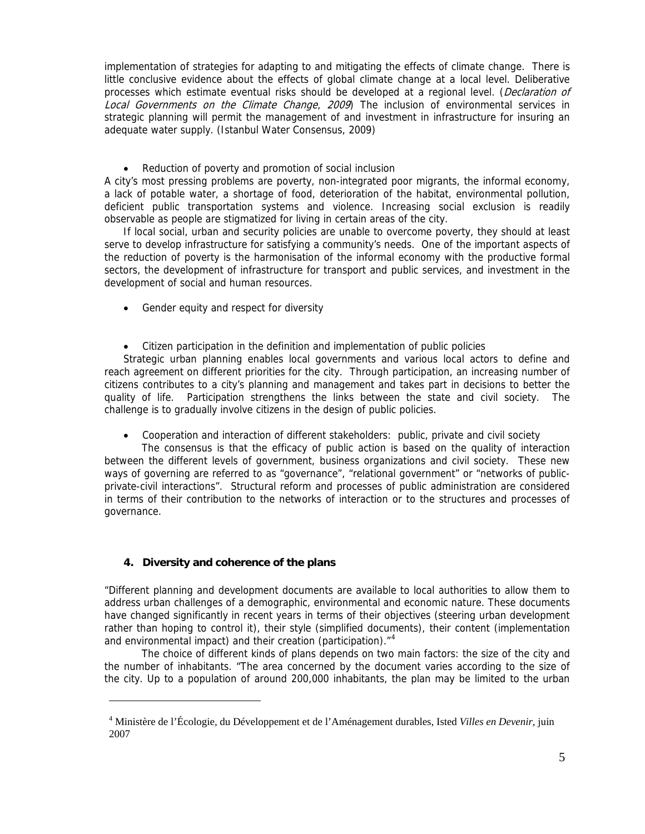implementation of strategies for adapting to and mitigating the effects of climate change. There is little conclusive evidence about the effects of global climate change at a local level. Deliberative processes which estimate eventual risks should be developed at a regional level. (Declaration of Local Governments on the Climate Change, 2009) The inclusion of environmental services in strategic planning will permit the management of and investment in infrastructure for insuring an adequate water supply. (Istanbul Water Consensus, 2009)

Reduction of poverty and promotion of social inclusion

A city's most pressing problems are poverty, non-integrated poor migrants, the informal economy, a lack of potable water, a shortage of food, deterioration of the habitat, environmental pollution, deficient public transportation systems and violence. Increasing social exclusion is readily observable as people are stigmatized for living in certain areas of the city.

If local social, urban and security policies are unable to overcome poverty, they should at least serve to develop infrastructure for satisfying a community's needs. One of the important aspects of the reduction of poverty is the harmonisation of the informal economy with the productive formal sectors, the development of infrastructure for transport and public services, and investment in the development of social and human resources.

- Gender equity and respect for diversity
- Citizen participation in the definition and implementation of public policies

Strategic urban planning enables local governments and various local actors to define and reach agreement on different priorities for the city. Through participation, an increasing number of citizens contributes to a city's planning and management and takes part in decisions to better the quality of life. Participation strengthens the links between the state and civil society. The challenge is to gradually involve citizens in the design of public policies.

Cooperation and interaction of different stakeholders: public, private and civil society

The consensus is that the efficacy of public action is based on the quality of interaction between the different levels of government, business organizations and civil society. These new ways of governing are referred to as "governance", "relational government" or "networks of publicprivate-civil interactions". Structural reform and processes of public administration are considered in terms of their contribution to the networks of interaction or to the structures and processes of governance.

# **4. Diversity and coherence of the plans**

 $\overline{a}$ 

"Different planning and development documents are available to local authorities to allow them to address urban challenges of a demographic, environmental and economic nature. These documents have changed significantly in recent years in terms of their objectives (steering urban development rather than hoping to control it), their style (simplified documents), their content (implementation and environmental impact) and their creation (participation).<sup>"[4](#page-4-0)</sup>

 The choice of different kinds of plans depends on two main factors: the size of the city and the number of inhabitants. "The area concerned by the document varies according to the size of the city. Up to a population of around 200,000 inhabitants, the plan may be limited to the urban

<span id="page-4-0"></span><sup>4</sup> Ministère de l'Écologie, du Développement et de l'Aménagement durables, Isted *Villes en Devenir*, juin 2007